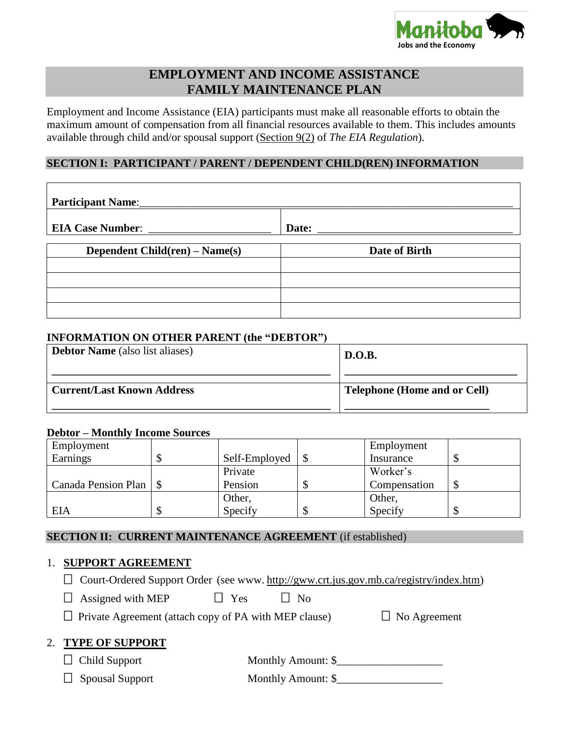

# **EMPLOYMENT AND INCOME ASSISTANCE FAMILY MAINTENANCE PLAN**

Employment and Income Assistance (EIA) participants must make all reasonable efforts to obtain the maximum amount of compensation from all financial resources available to them. This includes amounts available through child and/or spousal support (Section 9(2) of *The EIA Regulation*).

### **SECTION I: PARTICIPANT / PARENT / DEPENDENT CHILD(REN) INFORMATION**

| Participant Name:              |               |
|--------------------------------|---------------|
| <b>EIA Case Number:</b>        | Date:         |
| Dependent Child(ren) – Name(s) | Date of Birth |
|                                |               |
|                                |               |
|                                |               |

#### **INFORMATION ON OTHER PARENT (the "DEBTOR")**

| <b>Debtor Name</b> (also list aliases) | <b>D.O.B.</b>                       |
|----------------------------------------|-------------------------------------|
| <b>Current/Last Known Address</b>      | <b>Telephone (Home and or Cell)</b> |

#### **Debtor – Monthly Income Sources**

| Employment               |               | Employment   |  |
|--------------------------|---------------|--------------|--|
| Earnings                 | Self-Employed | Insurance    |  |
|                          | Private       | Worker's     |  |
| Canada Pension Plan   \$ | Pension       | Compensation |  |
|                          | Other,        | Other,       |  |
| EIA                      | Specify       | Specify      |  |

**SECTION II: CURRENT MAINTENANCE AGREEMENT** (if established)

### 1. **SUPPORT AGREEMENT**

 $\Box$  Assigned with MEP  $\Box$  Yes  $\Box$  No

 $\Box$  Private Agreement (attach copy of PA with MEP clause)  $\Box$  No Agreement

### 2. **TYPE OF SUPPORT**

| $\Box$ Child Support | Monthly Amount: \$ |
|----------------------|--------------------|
|----------------------|--------------------|

 $\Box$  Spousal Support Monthly Amount: \$